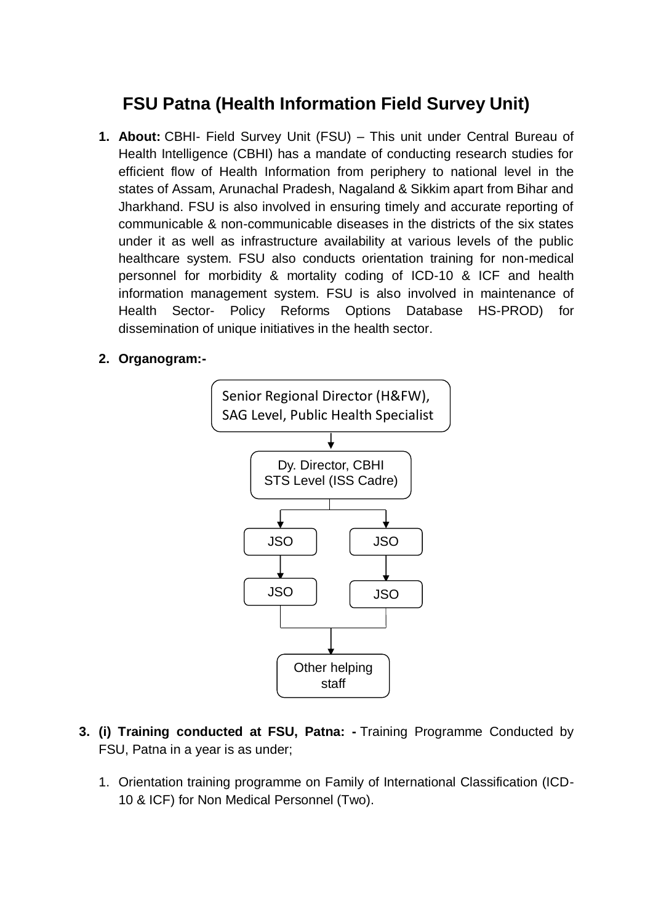## **FSU Patna (Health Information Field Survey Unit)**

- **1. About:** CBHI- Field Survey Unit (FSU) This unit under Central Bureau of Health Intelligence (CBHI) has a mandate of conducting research studies for efficient flow of Health Information from periphery to national level in the states of Assam, Arunachal Pradesh, Nagaland & Sikkim apart from Bihar and Jharkhand. FSU is also involved in ensuring timely and accurate reporting of communicable & non-communicable diseases in the districts of the six states under it as well as infrastructure availability at various levels of the public healthcare system. FSU also conducts orientation training for non-medical personnel for morbidity & mortality coding of ICD-10 & ICF and health information management system. FSU is also involved in maintenance of Health Sector- Policy Reforms Options Database HS-PROD) for dissemination of unique initiatives in the health sector.
- **2. Organogram:-**



- **3. (i) Training conducted at FSU, Patna: -** Training Programme Conducted by FSU, Patna in a year is as under;
	- 1. Orientation training programme on Family of International Classification (ICD-10 & ICF) for Non Medical Personnel (Two).